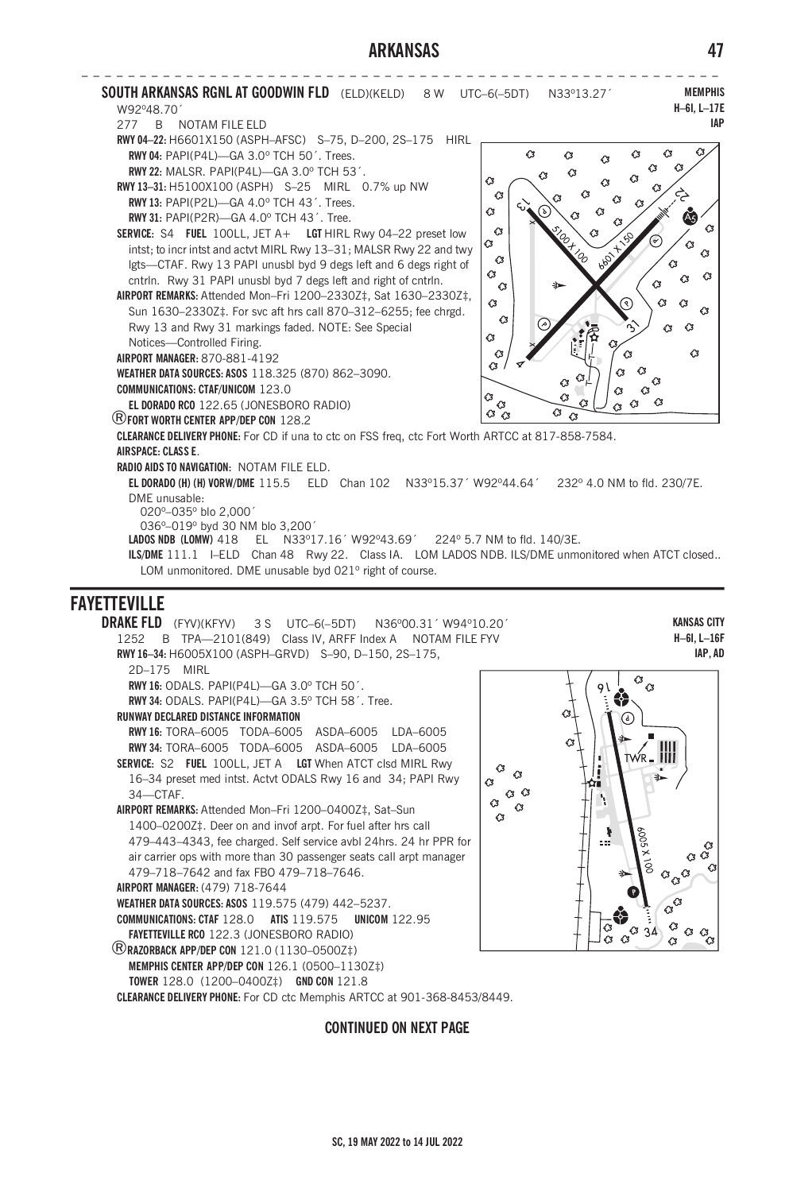## **ARKANSAS 47**



**DRAKE FLD** (FYV)(KFYV) 3 S UTC–6(–5DT) N36º00.31´ W94º10.20´ 1252 B TPA—2101(849) Class IV, ARFF Index A NOTAM FILE FYV **RWY 16–34:** H6005X100 (ASPH–GRVD) S–90, D–150, 2S–175, 2D–175 MIRL **RWY 16:** ODALS. PAPI(P4L)—GA 3.0º TCH 50´. **RWY 34:** ODALS. PAPI(P4L)—GA 3.5º TCH 58´. Tree. **RUNWAY DECLARED DISTANCE INFORMATION RWY 16:** TORA–6005 TODA–6005 ASDA–6005 LDA–6005 **RWY 34:** TORA–6005 TODA–6005 ASDA–6005 LDA–6005 **SERVICE:** S2 **FUEL** 100LL, JET A **LGT** When ATCT clsd MIRL Rwy 16–34 preset med intst. Actvt ODALS Rwy 16 and 34; PAPI Rwy Q 34—CTAF. **AIRPORT REMARKS:** Attended Mon–Fri 1200–0400Z‡, Sat–Sun 1400–0200Z‡. Deer on and invof arpt. For fuel after hrs call 479–443–4343, fee charged. Self service avbl 24hrs. 24 hr PPR for air carrier ops with more than 30 passenger seats call arpt manager 479–718–7642 and fax FBO 479–718–7646. **AIRPORT MANAGER:** (479) 718-7644 **WEATHER DATA SOURCES: ASOS** 119.575 (479) 442–5237. **COMMUNICATIONS: CTAF** 128.0 **ATIS** 119.575 **UNICOM** 122.95 **FAYETTEVILLE RCO** 122.3 (JONESBORO RADIO) ®**RAZORBACK APP/DEP CON** 121.0 (1130–0500Z‡) **MEMPHIS CENTER APP/DEP CON** 126.1 (0500–1130Z‡) **TOWER** 128.0 (1200–0400Z‡) **GND CON** 121.8

**CLEARANCE DELIVERY PHONE:** For CD ctc Memphis ARTCC at 901-368-8453/8449.

### **CONTINUED ON NEXT PAGE**

**IAP, AD**  $\overline{\alpha}_{\alpha}$ 

**KANSAS CITY H–6I, L–16F**